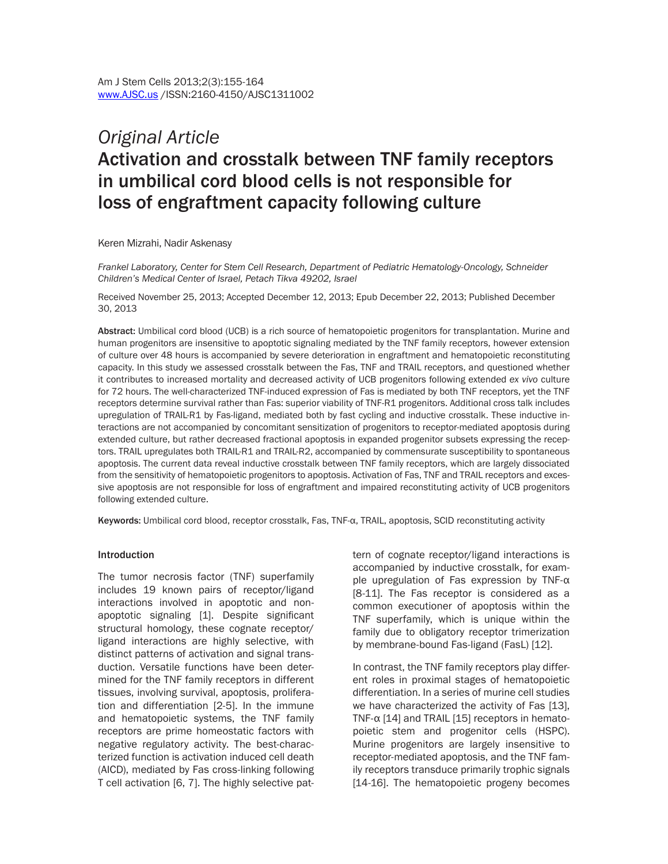# *Original Article* Activation and crosstalk between TNF family receptors in umbilical cord blood cells is not responsible for loss of engraftment capacity following culture

Keren Mizrahi, Nadir Askenasy

*Frankel Laboratory, Center for Stem Cell Research, Department of Pediatric Hematology-Oncology, Schneider Children's Medical Center of Israel, Petach Tikva 49202, Israel* 

Received November 25, 2013; Accepted December 12, 2013; Epub December 22, 2013; Published December 30, 2013

Abstract: Umbilical cord blood (UCB) is a rich source of hematopoietic progenitors for transplantation. Murine and human progenitors are insensitive to apoptotic signaling mediated by the TNF family receptors, however extension of culture over 48 hours is accompanied by severe deterioration in engraftment and hematopoietic reconstituting capacity. In this study we assessed crosstalk between the Fas, TNF and TRAIL receptors, and questioned whether it contributes to increased mortality and decreased activity of UCB progenitors following extended *ex vivo* culture for 72 hours. The well-characterized TNF-induced expression of Fas is mediated by both TNF receptors, yet the TNF receptors determine survival rather than Fas: superior viability of TNF-R1 progenitors. Additional cross talk includes upregulation of TRAIL-R1 by Fas-ligand, mediated both by fast cycling and inductive crosstalk. These inductive interactions are not accompanied by concomitant sensitization of progenitors to receptor-mediated apoptosis during extended culture, but rather decreased fractional apoptosis in expanded progenitor subsets expressing the receptors. TRAIL upregulates both TRAIL-R1 and TRAIL-R2, accompanied by commensurate susceptibility to spontaneous apoptosis. The current data reveal inductive crosstalk between TNF family receptors, which are largely dissociated from the sensitivity of hematopoietic progenitors to apoptosis. Activation of Fas, TNF and TRAIL receptors and excessive apoptosis are not responsible for loss of engraftment and impaired reconstituting activity of UCB progenitors following extended culture.

Keywords: Umbilical cord blood, receptor crosstalk, Fas, TNF-α, TRAIL, apoptosis, SCID reconstituting activity

#### Introduction

The tumor necrosis factor (TNF) superfamily includes 19 known pairs of receptor/ligand interactions involved in apoptotic and nonapoptotic signaling [1]. Despite significant structural homology, these cognate receptor/ ligand interactions are highly selective, with distinct patterns of activation and signal transduction. Versatile functions have been determined for the TNF family receptors in different tissues, involving survival, apoptosis, proliferation and differentiation [2-5]. In the immune and hematopoietic systems, the TNF family receptors are prime homeostatic factors with negative regulatory activity. The best-characterized function is activation induced cell death (AICD), mediated by Fas cross-linking following T cell activation [6, 7]. The highly selective pattern of cognate receptor/ligand interactions is accompanied by inductive crosstalk, for example upregulation of Fas expression by TNF-α [8-11]. The Fas receptor is considered as a common executioner of apoptosis within the TNF superfamily, which is unique within the family due to obligatory receptor trimerization by membrane-bound Fas-ligand (FasL) [12].

In contrast, the TNF family receptors play different roles in proximal stages of hematopoietic differentiation. In a series of murine cell studies we have characterized the activity of Fas [13], TNF- $\alpha$  [14] and TRAIL [15] receptors in hematopoietic stem and progenitor cells (HSPC). Murine progenitors are largely insensitive to receptor-mediated apoptosis, and the TNF family receptors transduce primarily trophic signals [14-16]. The hematopoietic progeny becomes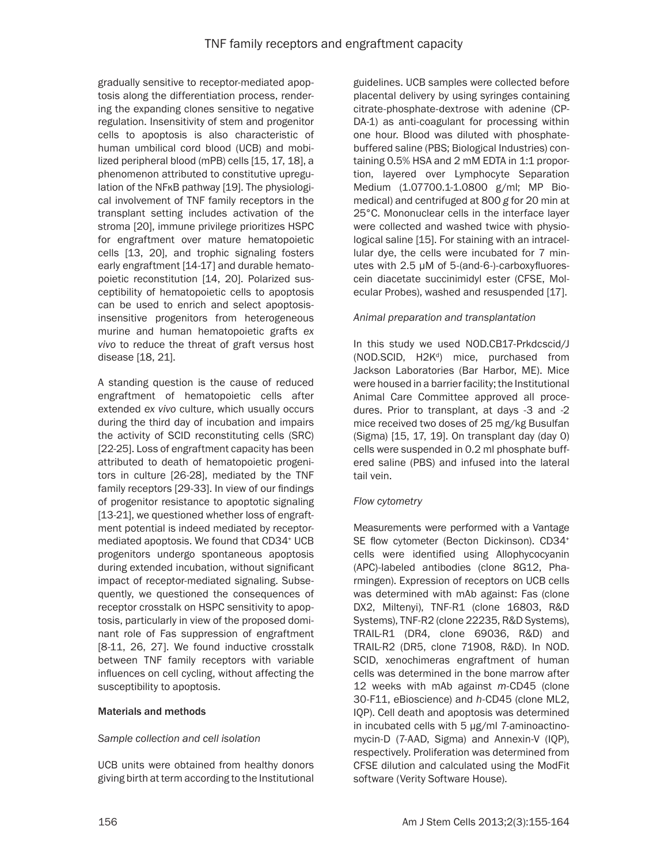gradually sensitive to receptor-mediated apoptosis along the differentiation process, rendering the expanding clones sensitive to negative regulation. Insensitivity of stem and progenitor cells to apoptosis is also characteristic of human umbilical cord blood (UCB) and mobilized peripheral blood (mPB) cells [15, 17, 18], a phenomenon attributed to constitutive upregulation of the NFκB pathway [19]. The physiological involvement of TNF family receptors in the transplant setting includes activation of the stroma [20], immune privilege prioritizes HSPC for engraftment over mature hematopoietic cells [13, 20], and trophic signaling fosters early engraftment [14-17] and durable hematopoietic reconstitution [14, 20]. Polarized susceptibility of hematopoietic cells to apoptosis can be used to enrich and select apoptosisinsensitive progenitors from heterogeneous murine and human hematopoietic grafts *ex vivo* to reduce the threat of graft versus host disease [18, 21].

A standing question is the cause of reduced engraftment of hematopoietic cells after extended *ex vivo* culture, which usually occurs during the third day of incubation and impairs the activity of SCID reconstituting cells (SRC) [22-25]. Loss of engraftment capacity has been attributed to death of hematopoietic progenitors in culture [26-28], mediated by the TNF family receptors [29-33]. In view of our findings of progenitor resistance to apoptotic signaling [13-21], we questioned whether loss of engraftment potential is indeed mediated by receptormediated apoptosis. We found that CD34+ UCB progenitors undergo spontaneous apoptosis during extended incubation, without significant impact of receptor-mediated signaling. Subsequently, we questioned the consequences of receptor crosstalk on HSPC sensitivity to apoptosis, particularly in view of the proposed dominant role of Fas suppression of engraftment [8-11, 26, 27]. We found inductive crosstalk between TNF family receptors with variable influences on cell cycling, without affecting the susceptibility to apoptosis.

## Materials and methods

## *Sample collection and cell isolation*

UCB units were obtained from healthy donors giving birth at term according to the Institutional guidelines. UCB samples were collected before placental delivery by using syringes containing citrate-phosphate-dextrose with adenine (CP-DA-1) as anti-coagulant for processing within one hour. Blood was diluted with phosphatebuffered saline (PBS; Biological Industries) containing 0.5% HSA and 2 mM EDTA in 1:1 proportion, layered over Lymphocyte Separation Medium (1.07700.1-1.0800 g/ml; MP Biomedical) and centrifuged at 800 *g* for 20 min at 25°C. Mononuclear cells in the interface layer were collected and washed twice with physiological saline [15]. For staining with an intracellular dye, the cells were incubated for 7 minutes with 2.5 µM of 5-(and-6-)-carboxyfluorescein diacetate succinimidyl ester (CFSE, Molecular Probes), washed and resuspended [17].

## *Animal preparation and transplantation*

In this study we used NOD.CB17-Prkdcscid/J (NOD.SCID, H2K<sup>d</sup>) mice, purchased from Jackson Laboratories (Bar Harbor, ME). Mice were housed in a barrier facility; the Institutional Animal Care Committee approved all procedures. Prior to transplant, at days -3 and -2 mice received two doses of 25 mg/kg Busulfan (Sigma) [15, 17, 19]. On transplant day (day 0) cells were suspended in 0.2 ml phosphate buffered saline (PBS) and infused into the lateral tail vein.

## *Flow cytometry*

Measurements were performed with a Vantage SE flow cytometer (Becton Dickinson). CD34+ cells were identified using Allophycocyanin (APC)-labeled antibodies (clone 8G12, Pharmingen). Expression of receptors on UCB cells was determined with mAb against: Fas (clone DX2, Miltenyi), TNF-R1 (clone 16803, R&D Systems), TNF-R2 (clone 22235, R&D Systems), TRAIL-R1 (DR4, clone 69036, R&D) and TRAIL-R2 (DR5, clone 71908, R&D). In NOD. SCID, xenochimeras engraftment of human cells was determined in the bone marrow after 12 weeks with mAb against *m*-CD45 (clone 30-F11, eBioscience) and *h*-CD45 (clone ML2, IQP). Cell death and apoptosis was determined in incubated cells with 5 µg/ml 7-aminoactinomycin-D (7-AAD, Sigma) and Annexin-V (IQP), respectively. Proliferation was determined from CFSE dilution and calculated using the ModFit software (Verity Software House).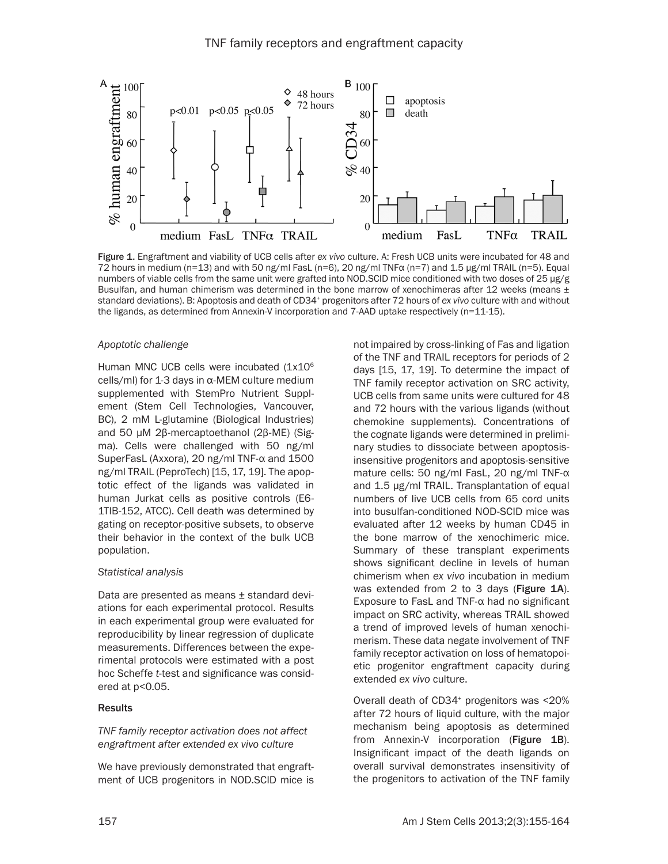

Figure 1. Engraftment and viability of UCB cells after *ex vivo* culture. A: Fresh UCB units were incubated for 48 and 72 hours in medium (n=13) and with 50 ng/ml FasL (n=6), 20 ng/ml TNFα (n=7) and 1.5 μg/ml TRAIL (n=5). Equal numbers of viable cells from the same unit were grafted into NOD.SCID mice conditioned with two doses of 25 μg/g Busulfan, and human chimerism was determined in the bone marrow of xenochimeras after 12 weeks (means  $\pm$ standard deviations). B: Apoptosis and death of CD34+ progenitors after 72 hours of *ex vivo* culture with and without the ligands, as determined from Annexin-V incorporation and 7-AAD uptake respectively (n=11-15).

#### *Apoptotic challenge*

Human MNC UCB cells were incubated (1x10<sup>6</sup>) cells/ml) for 1-3 days in α-MEM culture medium supplemented with StemPro Nutrient Supplement (Stem Cell Technologies, Vancouver, BC), 2 mM L-glutamine (Biological Industries) and 50 µM 2β-mercaptoethanol (2β-ME) (Sigma). Cells were challenged with 50 ng/ml SuperFasL (Axxora), 20 ng/ml TNF-α and 1500 ng/ml TRAIL (PeproTech) [15, 17, 19]. The apoptotic effect of the ligands was validated in human Jurkat cells as positive controls (E6- 1TIB-152, ATCC). Cell death was determined by gating on receptor-positive subsets, to observe their behavior in the context of the bulk UCB population.

#### *Statistical analysis*

Data are presented as means ± standard deviations for each experimental protocol. Results in each experimental group were evaluated for reproducibility by linear regression of duplicate measurements. Differences between the experimental protocols were estimated with a post hoc Scheffe *t*-test and significance was considered at p<0.05.

#### **Results**

*TNF family receptor activation does not affect engraftment after extended ex vivo culture*

We have previously demonstrated that engraftment of UCB progenitors in NOD.SCID mice is

not impaired by cross-linking of Fas and ligation of the TNF and TRAIL receptors for periods of 2 days [15, 17, 19]. To determine the impact of TNF family receptor activation on SRC activity, UCB cells from same units were cultured for 48 and 72 hours with the various ligands (without chemokine supplements). Concentrations of the cognate ligands were determined in preliminary studies to dissociate between apoptosisinsensitive progenitors and apoptosis-sensitive mature cells: 50 ng/ml FasL, 20 ng/ml TNF-α and 1.5 μg/ml TRAIL. Transplantation of equal numbers of live UCB cells from 65 cord units into busulfan-conditioned NOD-SCID mice was evaluated after 12 weeks by human CD45 in the bone marrow of the xenochimeric mice. Summary of these transplant experiments shows significant decline in levels of human chimerism when *ex vivo* incubation in medium was extended from 2 to 3 days (Figure 1A). Exposure to FasL and TNF-α had no significant impact on SRC activity, whereas TRAIL showed a trend of improved levels of human xenochimerism. These data negate involvement of TNF family receptor activation on loss of hematopoietic progenitor engraftment capacity during extended *ex vivo* culture.

Overall death of CD34+ progenitors was <20% after 72 hours of liquid culture, with the major mechanism being apoptosis as determined from Annexin-V incorporation (Figure 1B). Insignificant impact of the death ligands on overall survival demonstrates insensitivity of the progenitors to activation of the TNF family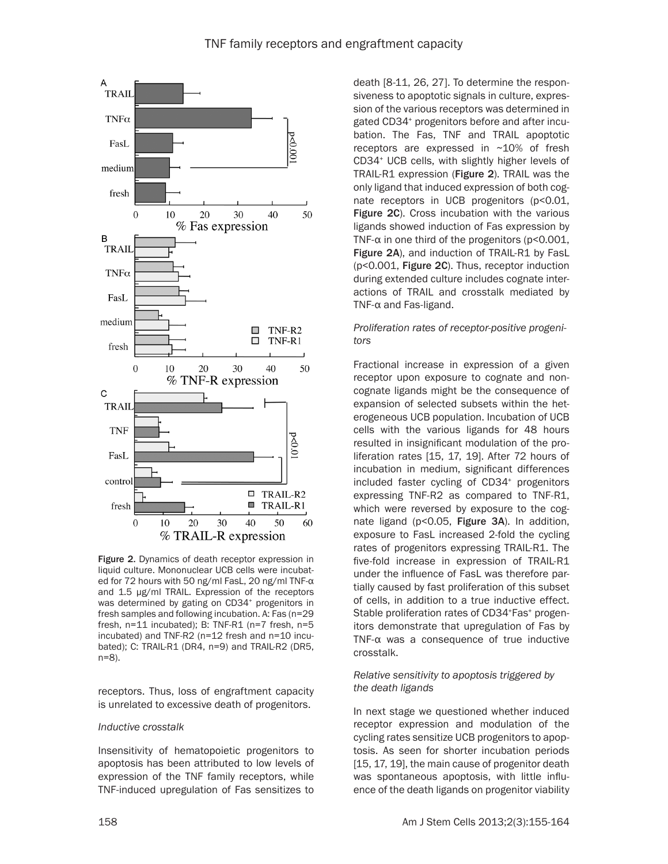

Figure 2. Dynamics of death receptor expression in liquid culture. Mononuclear UCB cells were incubated for 72 hours with 50 ng/ml FasL, 20 ng/ml TNF-α and 1.5 μg/ml TRAIL. Expression of the receptors was determined by gating on CD34<sup>+</sup> progenitors in fresh samples and following incubation. A: Fas (n=29 fresh, n=11 incubated); B: TNF-R1 (n=7 fresh, n=5 incubated) and TNF-R2 (n=12 fresh and n=10 incubated); C: TRAIL-R1 (DR4, n=9) and TRAIL-R2 (DR5, n=8).

receptors. Thus, loss of engraftment capacity is unrelated to excessive death of progenitors.

#### *Inductive crosstalk*

Insensitivity of hematopoietic progenitors to apoptosis has been attributed to low levels of expression of the TNF family receptors, while TNF-induced upregulation of Fas sensitizes to

death [8-11, 26, 27]. To determine the responsiveness to apoptotic signals in culture, expression of the various receptors was determined in gated CD34+ progenitors before and after incubation. The Fas, TNF and TRAIL apoptotic receptors are expressed in ~10% of fresh CD34+ UCB cells, with slightly higher levels of TRAIL-R1 expression (Figure 2). TRAIL was the only ligand that induced expression of both cognate receptors in UCB progenitors (p<0.01, Figure 2C). Cross incubation with the various ligands showed induction of Fas expression by TNF- $\alpha$  in one third of the progenitors (p<0.001, Figure 2A), and induction of TRAIL-R1 by FasL (p<0.001, Figure 2C). Thus, receptor induction during extended culture includes cognate interactions of TRAIL and crosstalk mediated by TNF-α and Fas-ligand.

### *Proliferation rates of receptor-positive progenitors*

Fractional increase in expression of a given receptor upon exposure to cognate and noncognate ligands might be the consequence of expansion of selected subsets within the heterogeneous UCB population. Incubation of UCB cells with the various ligands for 48 hours resulted in insignificant modulation of the proliferation rates [15, 17, 19]. After 72 hours of incubation in medium, significant differences included faster cycling of CD34<sup>+</sup> progenitors expressing TNF-R2 as compared to TNF-R1, which were reversed by exposure to the cognate ligand (p<0.05, Figure 3A). In addition, exposure to FasL increased 2-fold the cycling rates of progenitors expressing TRAIL-R1. The five-fold increase in expression of TRAIL-R1 under the influence of FasL was therefore partially caused by fast proliferation of this subset of cells, in addition to a true inductive effect. Stable proliferation rates of CD34+Fas+ progenitors demonstrate that upregulation of Fas by TNF-α was a consequence of true inductive crosstalk.

### *Relative sensitivity to apoptosis triggered by the death ligands*

In next stage we questioned whether induced receptor expression and modulation of the cycling rates sensitize UCB progenitors to apoptosis. As seen for shorter incubation periods [15, 17, 19], the main cause of progenitor death was spontaneous apoptosis, with little influence of the death ligands on progenitor viability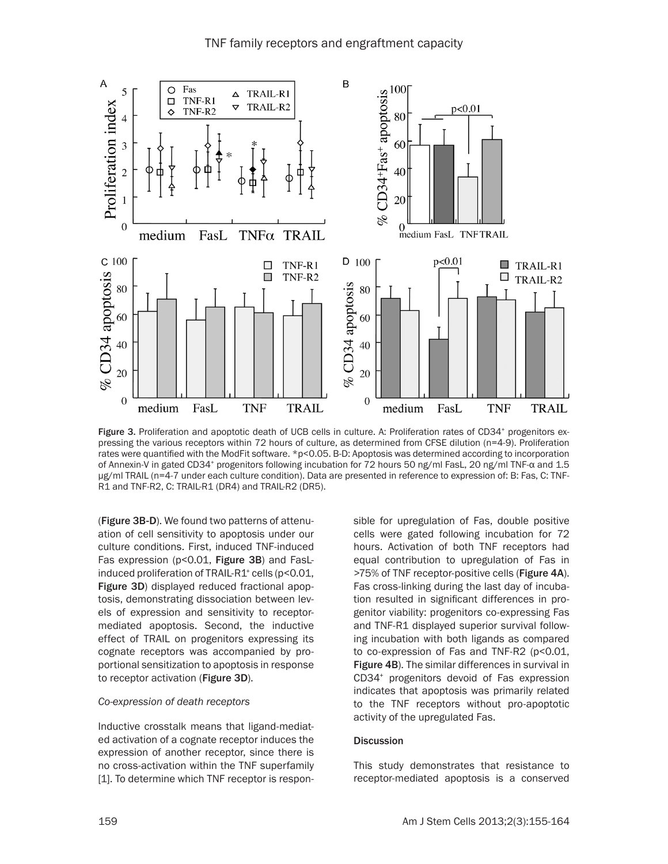

Figure 3. Proliferation and apoptotic death of UCB cells in culture. A: Proliferation rates of CD34<sup>+</sup> progenitors expressing the various receptors within 72 hours of culture, as determined from CFSE dilution (n=4-9). Proliferation rates were quantified with the ModFit software. \*p<0.05. B-D: Apoptosis was determined according to incorporation of Annexin-V in gated CD34+ progenitors following incubation for 72 hours 50 ng/ml FasL, 20 ng/ml TNF-α and 1.5 μg/ml TRAIL (n=4-7 under each culture condition). Data are presented in reference to expression of: B: Fas, C: TNF-R1 and TNF-R2, C: TRAIL-R1 (DR4) and TRAIL-R2 (DR5).

(Figure 3B-D). We found two patterns of attenuation of cell sensitivity to apoptosis under our culture conditions. First, induced TNF-induced Fas expression (p<0.01, Figure 3B) and FasLinduced proliferation of TRAIL-R1<sup>+</sup> cells ( $p$ <0.01, Figure 3D) displayed reduced fractional apoptosis, demonstrating dissociation between levels of expression and sensitivity to receptormediated apoptosis. Second, the inductive effect of TRAIL on progenitors expressing its cognate receptors was accompanied by proportional sensitization to apoptosis in response to receptor activation (Figure 3D).

#### *Co-expression of death receptors*

Inductive crosstalk means that ligand-mediated activation of a cognate receptor induces the expression of another receptor, since there is no cross-activation within the TNF superfamily [1]. To determine which TNF receptor is responsible for upregulation of Fas, double positive cells were gated following incubation for 72 hours. Activation of both TNF receptors had equal contribution to upregulation of Fas in >75% of TNF receptor-positive cells (Figure 4A). Fas cross-linking during the last day of incubation resulted in significant differences in progenitor viability: progenitors co-expressing Fas and TNF-R1 displayed superior survival following incubation with both ligands as compared to co-expression of Fas and TNF-R2 (p<0.01, Figure 4B). The similar differences in survival in CD34+ progenitors devoid of Fas expression indicates that apoptosis was primarily related to the TNF receptors without pro-apoptotic activity of the upregulated Fas.

#### **Discussion**

This study demonstrates that resistance to receptor-mediated apoptosis is a conserved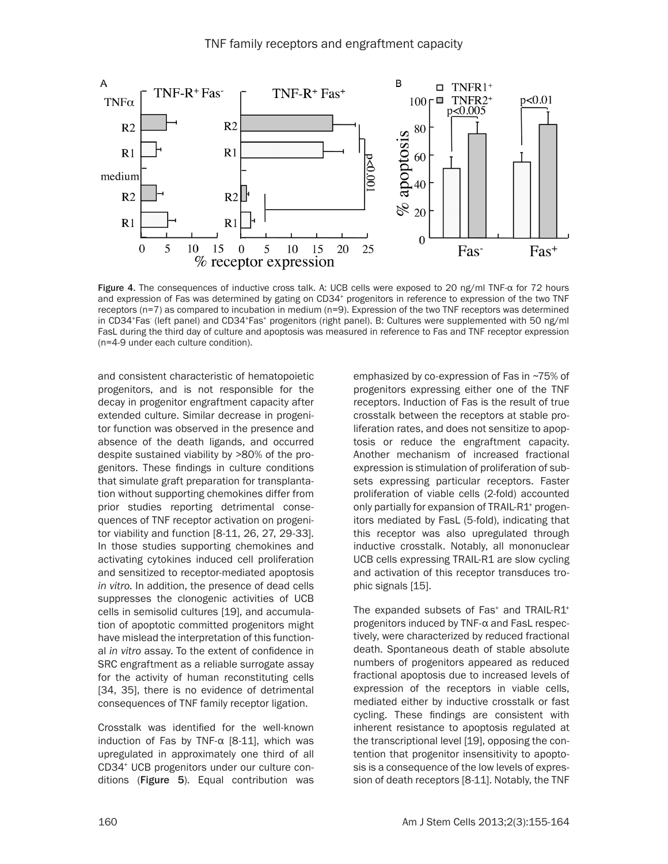

Figure 4. The consequences of inductive cross talk. A: UCB cells were exposed to 20 ng/ml TNF-α for 72 hours and expression of Fas was determined by gating on CD34<sup>+</sup> progenitors in reference to expression of the two TNF receptors (n=7) as compared to incubation in medium (n=9). Expression of the two TNF receptors was determined in CD34+Fas (left panel) and CD34+Fas+ progenitors (right panel). B: Cultures were supplemented with 50 ng/ml FasL during the third day of culture and apoptosis was measured in reference to Fas and TNF receptor expression (n=4-9 under each culture condition).

and consistent characteristic of hematopoietic progenitors, and is not responsible for the decay in progenitor engraftment capacity after extended culture. Similar decrease in progenitor function was observed in the presence and absence of the death ligands, and occurred despite sustained viability by >80% of the progenitors. These findings in culture conditions that simulate graft preparation for transplantation without supporting chemokines differ from prior studies reporting detrimental consequences of TNF receptor activation on progenitor viability and function [8-11, 26, 27, 29-33]. In those studies supporting chemokines and activating cytokines induced cell proliferation and sensitized to receptor-mediated apoptosis *in vitro*. In addition, the presence of dead cells suppresses the clonogenic activities of UCB cells in semisolid cultures [19], and accumulation of apoptotic committed progenitors might have mislead the interpretation of this functional *in vitro* assay. To the extent of confidence in SRC engraftment as a reliable surrogate assay for the activity of human reconstituting cells [34, 35], there is no evidence of detrimental consequences of TNF family receptor ligation.

Crosstalk was identified for the well-known induction of Fas by TNF- $\alpha$  [8-11], which was upregulated in approximately one third of all CD34+ UCB progenitors under our culture conditions (Figure 5). Equal contribution was emphasized by co-expression of Fas in ~75% of progenitors expressing either one of the TNF receptors. Induction of Fas is the result of true crosstalk between the receptors at stable proliferation rates, and does not sensitize to apoptosis or reduce the engraftment capacity. Another mechanism of increased fractional expression is stimulation of proliferation of subsets expressing particular receptors. Faster proliferation of viable cells (2-fold) accounted only partially for expansion of TRAIL-R1+ progenitors mediated by FasL (5-fold), indicating that this receptor was also upregulated through inductive crosstalk. Notably, all mononuclear UCB cells expressing TRAIL-R1 are slow cycling and activation of this receptor transduces trophic signals [15].

The expanded subsets of Fas<sup>+</sup> and TRAIL-R1<sup>+</sup> progenitors induced by TNF-α and FasL respectively, were characterized by reduced fractional death. Spontaneous death of stable absolute numbers of progenitors appeared as reduced fractional apoptosis due to increased levels of expression of the receptors in viable cells, mediated either by inductive crosstalk or fast cycling. These findings are consistent with inherent resistance to apoptosis regulated at the transcriptional level [19], opposing the contention that progenitor insensitivity to apoptosis is a consequence of the low levels of expression of death receptors [8-11]. Notably, the TNF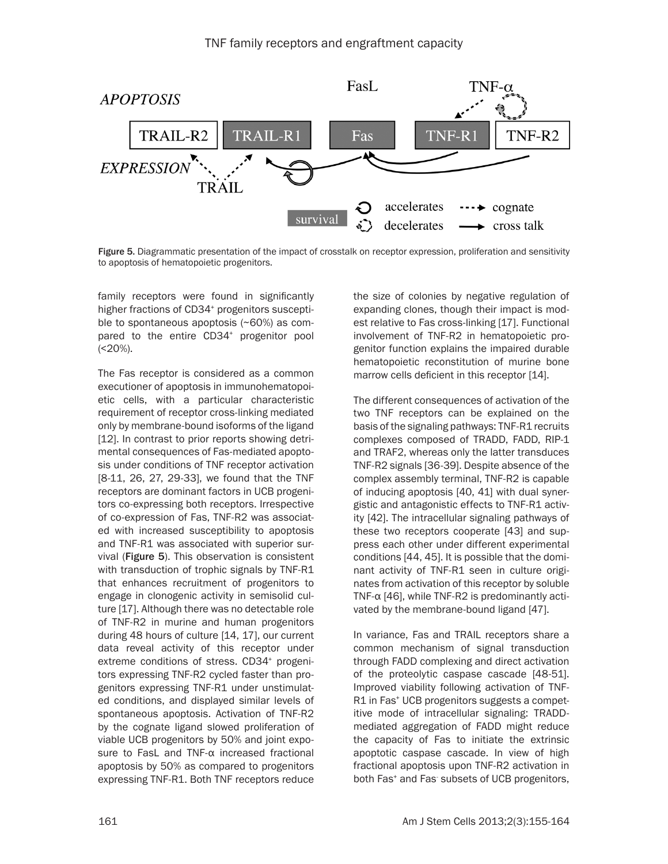

Figure 5. Diagrammatic presentation of the impact of crosstalk on receptor expression, proliferation and sensitivity to apoptosis of hematopoietic progenitors.

family receptors were found in significantly higher fractions of CD34<sup>+</sup> progenitors susceptible to spontaneous apoptosis (~60%) as compared to the entire CD34<sup>+</sup> progenitor pool (<20%).

The Fas receptor is considered as a common executioner of apoptosis in immunohematopoietic cells, with a particular characteristic requirement of receptor cross-linking mediated only by membrane-bound isoforms of the ligand [12]. In contrast to prior reports showing detrimental consequences of Fas-mediated apoptosis under conditions of TNF receptor activation [8-11, 26, 27, 29-33], we found that the TNF receptors are dominant factors in UCB progenitors co-expressing both receptors. Irrespective of co-expression of Fas, TNF-R2 was associated with increased susceptibility to apoptosis and TNF-R1 was associated with superior survival (Figure 5). This observation is consistent with transduction of trophic signals by TNF-R1 that enhances recruitment of progenitors to engage in clonogenic activity in semisolid culture [17]. Although there was no detectable role of TNF-R2 in murine and human progenitors during 48 hours of culture [14, 17], our current data reveal activity of this receptor under extreme conditions of stress. CD34+ progenitors expressing TNF-R2 cycled faster than progenitors expressing TNF-R1 under unstimulated conditions, and displayed similar levels of spontaneous apoptosis. Activation of TNF-R2 by the cognate ligand slowed proliferation of viable UCB progenitors by 50% and joint exposure to FasL and TNF-α increased fractional apoptosis by 50% as compared to progenitors expressing TNF-R1. Both TNF receptors reduce the size of colonies by negative regulation of expanding clones, though their impact is modest relative to Fas cross-linking [17]. Functional involvement of TNF-R2 in hematopoietic progenitor function explains the impaired durable hematopoietic reconstitution of murine bone marrow cells deficient in this receptor [14].

The different consequences of activation of the two TNF receptors can be explained on the basis of the signaling pathways: TNF-R1 recruits complexes composed of TRADD, FADD, RIP-1 and TRAF2, whereas only the latter transduces TNF-R2 signals [36-39]. Despite absence of the complex assembly terminal, TNF-R2 is capable of inducing apoptosis [40, 41] with dual synergistic and antagonistic effects to TNF-R1 activity [42]. The intracellular signaling pathways of these two receptors cooperate [43] and suppress each other under different experimental conditions [44, 45]. It is possible that the dominant activity of TNF-R1 seen in culture originates from activation of this receptor by soluble TNF- $\alpha$  [46], while TNF-R2 is predominantly activated by the membrane-bound ligand [47].

In variance, Fas and TRAIL receptors share a common mechanism of signal transduction through FADD complexing and direct activation of the proteolytic caspase cascade [48-51]. Improved viability following activation of TNF-R1 in Fas<sup>+</sup> UCB progenitors suggests a competitive mode of intracellular signaling: TRADDmediated aggregation of FADD might reduce the capacity of Fas to initiate the extrinsic apoptotic caspase cascade. In view of high fractional apoptosis upon TNF-R2 activation in both Fas<sup>+</sup> and Fas<sup>-</sup> subsets of UCB progenitors,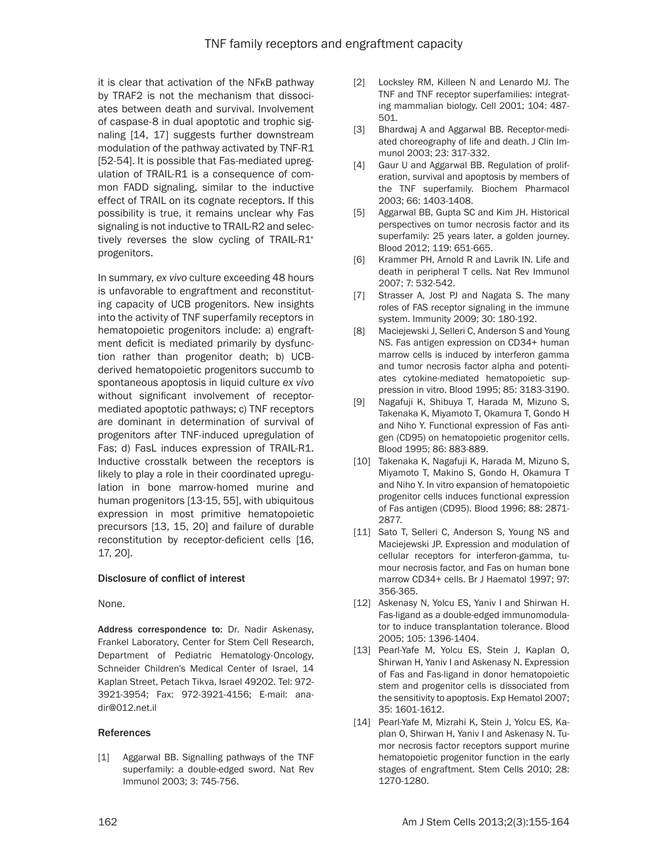it is clear that activation of the NFκB pathway by TRAF2 is not the mechanism that dissociates between death and survival. Involvement of caspase-8 in dual apoptotic and trophic signaling [14, 17] suggests further downstream modulation of the pathway activated by TNF-R1 [52-54]. It is possible that Fas-mediated upregulation of TRAIL-R1 is a consequence of common FADD signaling, similar to the inductive effect of TRAIL on its cognate receptors. If this possibility is true, it remains unclear why Fas signaling is not inductive to TRAIL-R2 and selectively reverses the slow cycling of TRAIL-R1<sup>+</sup> progenitors.

In summary, *ex vivo* culture exceeding 48 hours is unfavorable to engraftment and reconstituting capacity of UCB progenitors. New insights into the activity of TNF superfamily receptors in hematopoietic progenitors include: a) engraftment deficit is mediated primarily by dysfunction rather than progenitor death; b) UCBderived hematopoietic progenitors succumb to spontaneous apoptosis in liquid culture *ex vivo* without significant involvement of receptormediated apoptotic pathways; c) TNF receptors are dominant in determination of survival of progenitors after TNF-induced upregulation of Fas; d) FasL induces expression of TRAIL-R1. Inductive crosstalk between the receptors is likely to play a role in their coordinated upregulation in bone marrow-homed murine and human progenitors [13-15, 55], with ubiquitous expression in most primitive hematopoietic precursors [13, 15, 20] and failure of durable reconstitution by receptor-deficient cells [16, 17, 20].

## Disclosure of conflict of interest

None.

Address correspondence to: Dr. Nadir Askenasy, Frankel Laboratory, Center for Stem Cell Research, Department of Pediatric Hematology-Oncology, Schneider Children's Medical Center of Israel, 14 Kaplan Street, Petach Tikva, Israel 49202. Tel: 972- 3921-3954; Fax: 972-3921-4156; E-mail: [ana](mailto:anadir@012.net.il)[dir@012.net.il](mailto:anadir@012.net.il)

## References

[1] Aggarwal BB. Signalling pathways of the TNF superfamily: a double-edged sword. Nat Rev Immunol 2003; 3: 745-756.

- [2] Locksley RM, Killeen N and Lenardo MJ. The TNF and TNF receptor superfamilies: integrating mammalian biology. Cell 2001; 104: 487- 501.
- [3] Bhardwaj A and Aggarwal BB. Receptor-mediated choreography of life and death. J Clin Immunol 2003; 23: 317-332.
- [4] Gaur U and Aggarwal BB. Regulation of proliferation, survival and apoptosis by members of the TNF superfamily. Biochem Pharmacol 2003; 66: 1403-1408.
- [5] Aggarwal BB, Gupta SC and Kim JH. Historical perspectives on tumor necrosis factor and its superfamily: 25 years later, a golden journey. Blood 2012; 119: 651-665.
- [6] Krammer PH, Arnold R and Lavrik IN. Life and death in peripheral T cells. Nat Rev Immunol 2007; 7: 532-542.
- [7] Strasser A, Jost PJ and Nagata S. The many roles of FAS receptor signaling in the immune system. Immunity 2009; 30: 180-192.
- [8] Maciejewski J, Selleri C, Anderson S and Young NS. Fas antigen expression on CD34+ human marrow cells is induced by interferon gamma and tumor necrosis factor alpha and potentiates cytokine-mediated hematopoietic suppression in vitro. Blood 1995; 85: 3183-3190.
- [9] Nagafuji K, Shibuya T, Harada M, Mizuno S, Takenaka K, Miyamoto T, Okamura T, Gondo H and Niho Y. Functional expression of Fas antigen (CD95) on hematopoietic progenitor cells. Blood 1995; 86: 883-889.
- [10] Takenaka K, Nagafuji K, Harada M, Mizuno S, Miyamoto T, Makino S, Gondo H, Okamura T and Niho Y. In vitro expansion of hematopoietic progenitor cells induces functional expression of Fas antigen (CD95). Blood 1996; 88: 2871- 2877.
- [11] Sato T, Selleri C, Anderson S, Young NS and Maciejewski JP. Expression and modulation of cellular receptors for interferon-gamma, tumour necrosis factor, and Fas on human bone marrow CD34+ cells. Br J Haematol 1997; 97: 356-365.
- [12] Askenasy N, Yolcu ES, Yaniv I and Shirwan H. Fas-ligand as a double-edged immunomodulator to induce transplantation tolerance. Blood 2005; 105: 1396-1404.
- [13] Pearl-Yafe M, Yolcu ES, Stein J, Kaplan O, Shirwan H, Yaniv I and Askenasy N. Expression of Fas and Fas-ligand in donor hematopoietic stem and progenitor cells is dissociated from the sensitivity to apoptosis. Exp Hematol 2007; 35: 1601-1612.
- [14] Pearl-Yafe M, Mizrahi K, Stein J, Yolcu ES, Kaplan O, Shirwan H, Yaniv I and Askenasy N. Tumor necrosis factor receptors support murine hematopoietic progenitor function in the early stages of engraftment. Stem Cells 2010; 28: 1270-1280.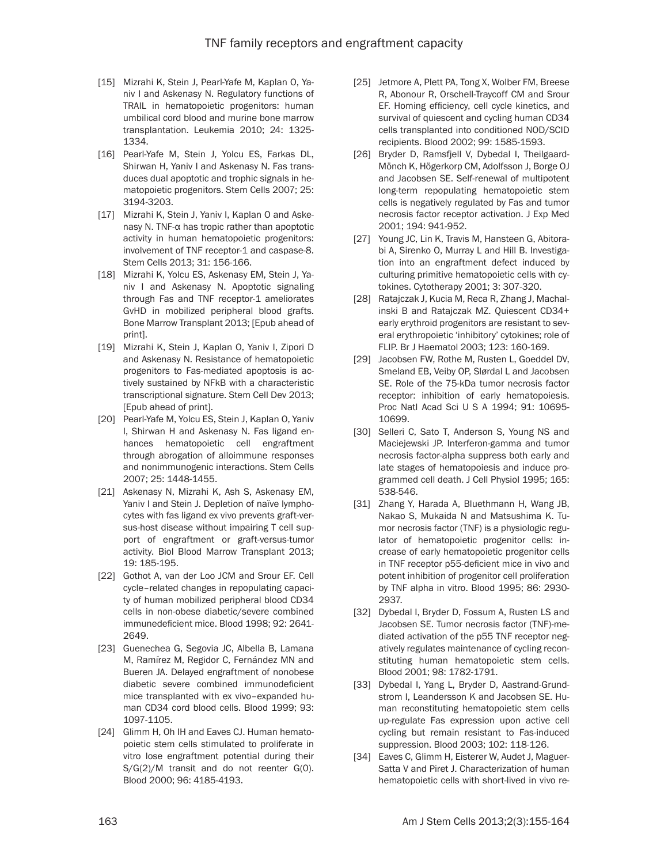- [15] Mizrahi K, Stein J, Pearl-Yafe M, Kaplan O, Yaniv I and Askenasy N. Regulatory functions of TRAIL in hematopoietic progenitors: human umbilical cord blood and murine bone marrow transplantation. Leukemia 2010; 24: 1325- 1334.
- [16] Pearl-Yafe M, Stein J, Yolcu ES, Farkas DL, Shirwan H, Yaniv I and Askenasy N. Fas transduces dual apoptotic and trophic signals in hematopoietic progenitors. Stem Cells 2007; 25: 3194-3203.
- [17] Mizrahi K, Stein J, Yaniv I, Kaplan O and Askenasy N. TNF-α has tropic rather than apoptotic activity in human hematopoietic progenitors: involvement of TNF receptor-1 and caspase-8. Stem Cells 2013; 31: 156-166.
- [18] Mizrahi K, Yolcu ES, Askenasy EM, Stein J, Yaniv I and Askenasy N. Apoptotic signaling through Fas and TNF receptor-1 ameliorates GvHD in mobilized peripheral blood grafts. Bone Marrow Transplant 2013; [Epub ahead of print].
- [19] Mizrahi K, Stein J, Kaplan O, Yaniv I, Zipori D and Askenasy N. Resistance of hematopoietic progenitors to Fas-mediated apoptosis is actively sustained by NFkB with a characteristic transcriptional signature. Stem Cell Dev 2013; [Epub ahead of print].
- [20] Pearl-Yafe M, Yolcu ES, Stein J, Kaplan O, Yaniv I, Shirwan H and Askenasy N. Fas ligand enhances hematopoietic cell engraftment through abrogation of alloimmune responses and nonimmunogenic interactions. Stem Cells 2007; 25: 1448-1455.
- [21] Askenasy N, Mizrahi K, Ash S, Askenasy EM, Yaniv I and Stein J. Depletion of naïve lymphocytes with fas ligand ex vivo prevents graft-versus-host disease without impairing T cell support of engraftment or graft-versus-tumor activity. Biol Blood Marrow Transplant 2013; 19: 185-195.
- [22] Gothot A, van der Loo JCM and Srour EF. Cell cycle–related changes in repopulating capacity of human mobilized peripheral blood CD34 cells in non-obese diabetic/severe combined immunedeficient mice. Blood 1998; 92: 2641- 2649.
- [23] Guenechea G, Segovia JC, Albella B, Lamana M, Ramírez M, Regidor C, Fernández MN and Bueren JA. Delayed engraftment of nonobese diabetic severe combined immunodeficient mice transplanted with ex vivo–expanded human CD34 cord blood cells. Blood 1999; 93: 1097-1105.
- [24] Glimm H, Oh IH and Eaves CJ. Human hematopoietic stem cells stimulated to proliferate in vitro lose engraftment potential during their S/G(2)/M transit and do not reenter G(0). Blood 2000; 96: 4185-4193.
- [25] Jetmore A, Plett PA, Tong X, Wolber FM, Breese R, Abonour R, Orschell-Traycoff CM and Srour EF. Homing efficiency, cell cycle kinetics, and survival of quiescent and cycling human CD34 cells transplanted into conditioned NOD/SCID recipients. Blood 2002; 99: 1585-1593.
- [26] Bryder D, Ramsfjell V, Dybedal I, Theilgaard-Mönch K, Högerkorp CM, Adolfsson J, Borge OJ and Jacobsen SE. Self-renewal of multipotent long-term repopulating hematopoietic stem cells is negatively regulated by Fas and tumor necrosis factor receptor activation. J Exp Med 2001; 194: 941-952.
- [27] Young JC, Lin K, Travis M, Hansteen G, Abitorabi A, Sirenko O, Murray L and Hill B. Investigation into an engraftment defect induced by culturing primitive hematopoietic cells with cytokines. Cytotherapy 2001; 3: 307-320.
- [28] Ratajczak J, Kucia M, Reca R, Zhang J, Machalinski B and Ratajczak MZ. Quiescent CD34+ early erythroid progenitors are resistant to several erythropoietic 'inhibitory' cytokines; role of FLIP. Br J Haematol 2003; 123: 160-169.
- [29] Jacobsen FW, Rothe M, Rusten L, Goeddel DV, Smeland EB, Veiby OP, Slørdal L and Jacobsen SE. Role of the 75-kDa tumor necrosis factor receptor: inhibition of early hematopoiesis. Proc Natl Acad Sci U S A 1994; 91: 10695- 10699.
- [30] Selleri C, Sato T, Anderson S, Young NS and Maciejewski JP. Interferon-gamma and tumor necrosis factor-alpha suppress both early and late stages of hematopoiesis and induce programmed cell death. J Cell Physiol 1995; 165: 538-546.
- [31] Zhang Y, Harada A, Bluethmann H, Wang JB, Nakao S, Mukaida N and Matsushima K. Tumor necrosis factor (TNF) is a physiologic regulator of hematopoietic progenitor cells: increase of early hematopoietic progenitor cells in TNF receptor p55-deficient mice in vivo and potent inhibition of progenitor cell proliferation by TNF alpha in vitro. Blood 1995; 86: 2930- 2937.
- [32] Dybedal I, Bryder D, Fossum A, Rusten LS and Jacobsen SE. Tumor necrosis factor (TNF)-mediated activation of the p55 TNF receptor negatively regulates maintenance of cycling reconstituting human hematopoietic stem cells. Blood 2001; 98: 1782-1791.
- [33] Dybedal I, Yang L, Bryder D, Aastrand-Grundstrom I, Leandersson K and Jacobsen SE. Human reconstituting hematopoietic stem cells up-regulate Fas expression upon active cell cycling but remain resistant to Fas-induced suppression. Blood 2003; 102: 118-126.
- [34] Eaves C, Glimm H, Eisterer W, Audet J, Maguer-Satta V and Piret J. Characterization of human hematopoietic cells with short-lived in vivo re-